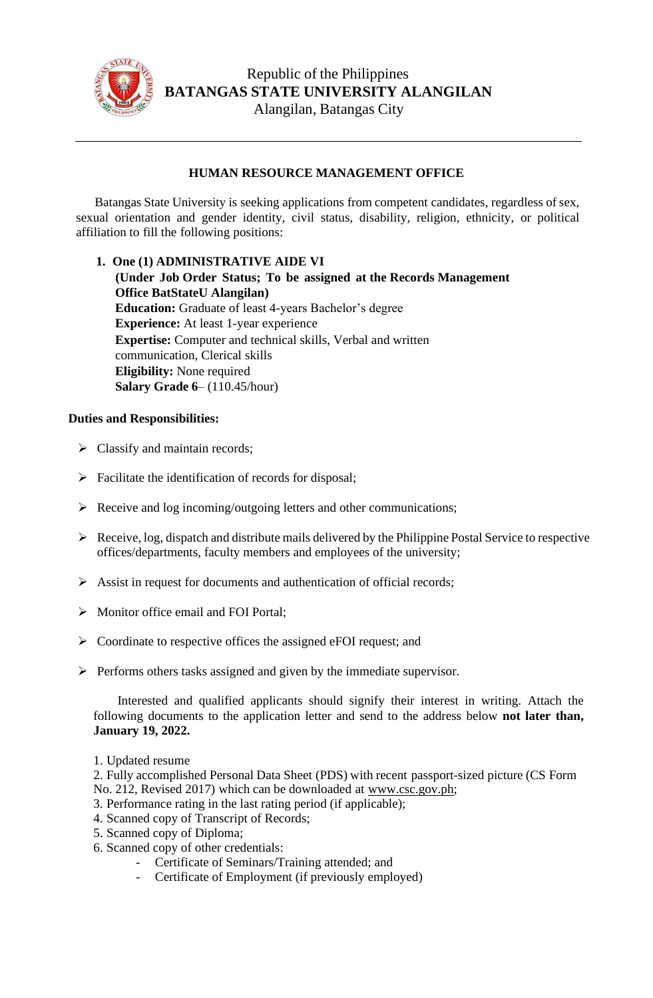

## **HUMAN RESOURCE MANAGEMENT OFFICE**

Batangas State University is seeking applications from competent candidates, regardless of sex, sexual orientation and gender identity, civil status, disability, religion, ethnicity, or political affiliation to fill the following positions:

## **1. One (1) ADMINISTRATIVE AIDE VI**

**(Under Job Order Status; To be assigned at the Records Management Office BatStateU Alangilan) Education:** Graduate of least 4-years Bachelor's degree **Experience:** At least 1-year experience **Expertise:** Computer and technical skills, Verbal and written communication, Clerical skills **Eligibility:** None required **Salary Grade 6**– (110.45/hour)

## **Duties and Responsibilities:**

- $\triangleright$  Classify and maintain records;
- ➢ Facilitate the identification of records for disposal;
- ➢ Receive and log incoming/outgoing letters and other communications;
- ➢ Receive, log, dispatch and distribute mails delivered by the Philippine Postal Service to respective offices/departments, faculty members and employees of the university;
- ➢ Assist in request for documents and authentication of official records;
- ➢ Monitor office email and FOI Portal;
- ➢ Coordinate to respective offices the assigned eFOI request; and
- ➢ Performs others tasks assigned and given by the immediate supervisor.

Interested and qualified applicants should signify their interest in writing. Attach the following documents to the application letter and send to the address below **not later than, January 19, 2022.**

1. Updated resume

2. Fully accomplished Personal Data Sheet (PDS) with recent passport-sized picture (CS Form No. 212, Revised 2017) which can be downloaded at [www.csc.gov.ph;](http://www.csc.gov.ph/)

- 3. Performance rating in the last rating period (if applicable);
- 4. Scanned copy of Transcript of Records;
- 5. Scanned copy of Diploma;
- 6. Scanned copy of other credentials:
	- Certificate of Seminars/Training attended; and
	- Certificate of Employment (if previously employed)